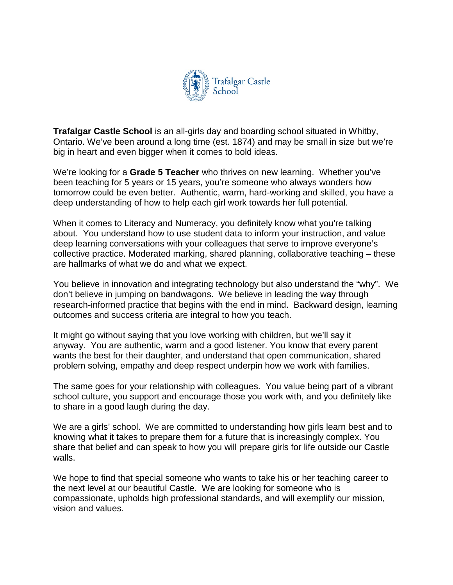

**Trafalgar Castle School** is an all-girls day and boarding school situated in Whitby, Ontario. We've been around a long time (est. 1874) and may be small in size but we're big in heart and even bigger when it comes to bold ideas.

We're looking for a **Grade 5 Teacher** who thrives on new learning. Whether you've been teaching for 5 years or 15 years, you're someone who always wonders how tomorrow could be even better. Authentic, warm, hard-working and skilled, you have a deep understanding of how to help each girl work towards her full potential.

When it comes to Literacy and Numeracy, you definitely know what you're talking about. You understand how to use student data to inform your instruction, and value deep learning conversations with your colleagues that serve to improve everyone's collective practice. Moderated marking, shared planning, collaborative teaching – these are hallmarks of what we do and what we expect.

You believe in innovation and integrating technology but also understand the "why". We don't believe in jumping on bandwagons. We believe in leading the way through research-informed practice that begins with the end in mind. Backward design, learning outcomes and success criteria are integral to how you teach.

It might go without saying that you love working with children, but we'll say it anyway. You are authentic, warm and a good listener. You know that every parent wants the best for their daughter, and understand that open communication, shared problem solving, empathy and deep respect underpin how we work with families.

The same goes for your relationship with colleagues. You value being part of a vibrant school culture, you support and encourage those you work with, and you definitely like to share in a good laugh during the day.

We are a girls' school. We are committed to understanding how girls learn best and to knowing what it takes to prepare them for a future that is increasingly complex. You share that belief and can speak to how you will prepare girls for life outside our Castle walls.

We hope to find that special someone who wants to take his or her teaching career to the next level at our beautiful Castle. We are looking for someone who is compassionate, upholds high professional standards, and will exemplify our mission, vision and values.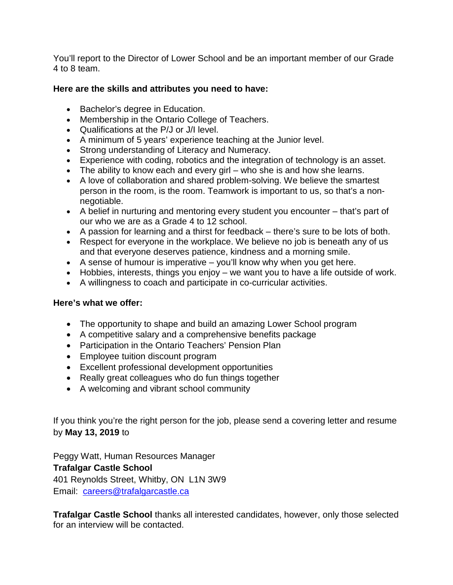You'll report to the Director of Lower School and be an important member of our Grade 4 to 8 team.

## **Here are the skills and attributes you need to have:**

- Bachelor's degree in Education.
- Membership in the Ontario College of Teachers.
- Qualifications at the P/J or J/I level.
- A minimum of 5 years' experience teaching at the Junior level.
- Strong understanding of Literacy and Numeracy.
- Experience with coding, robotics and the integration of technology is an asset.
- The ability to know each and every girl who she is and how she learns.
- A love of collaboration and shared problem-solving. We believe the smartest person in the room, is the room. Teamwork is important to us, so that's a nonnegotiable.
- A belief in nurturing and mentoring every student you encounter that's part of our who we are as a Grade 4 to 12 school.
- A passion for learning and a thirst for feedback there's sure to be lots of both.
- Respect for everyone in the workplace. We believe no job is beneath any of us and that everyone deserves patience, kindness and a morning smile.
- A sense of humour is imperative you'll know why when you get here.
- Hobbies, interests, things you enjoy we want you to have a life outside of work.
- A willingness to coach and participate in co-curricular activities.

## **Here's what we offer:**

- The opportunity to shape and build an amazing Lower School program
- A competitive salary and a comprehensive benefits package
- Participation in the Ontario Teachers' Pension Plan
- Employee tuition discount program
- Excellent professional development opportunities
- Really great colleagues who do fun things together
- A welcoming and vibrant school community

If you think you're the right person for the job, please send a covering letter and resume by **May 13, 2019** to

Peggy Watt, Human Resources Manager **Trafalgar Castle School** 401 Reynolds Street, Whitby, ON L1N 3W9 Email: [careers@trafalgarcastle.ca](mailto:careers@trafalgarcastle.ca)

**Trafalgar Castle School** thanks all interested candidates, however, only those selected for an interview will be contacted.